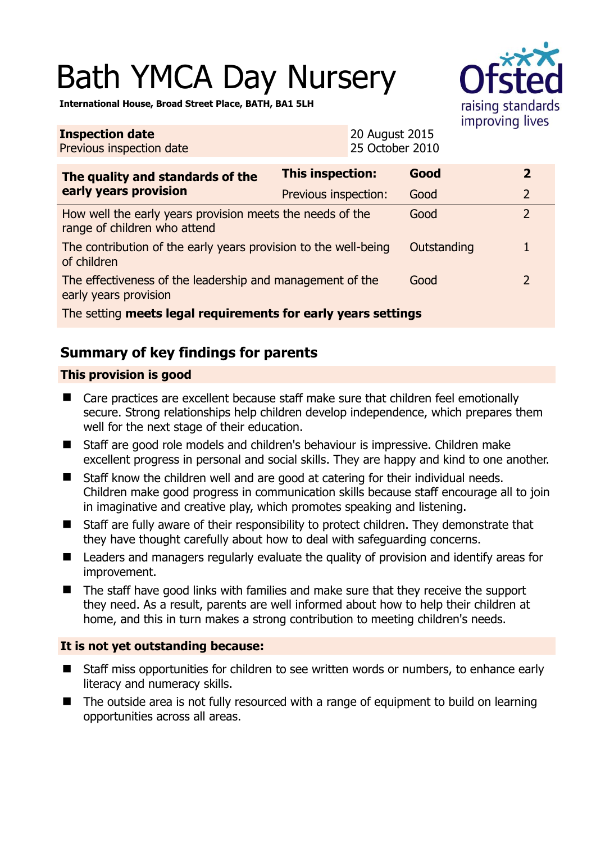# Bath YMCA Day Nursery



**International House, Broad Street Place, BATH, BA1 5LH** 

| <b>Inspection date</b><br>Previous inspection date                                                                  |                         | 20 August 2015<br>25 October 2010 |             |                |
|---------------------------------------------------------------------------------------------------------------------|-------------------------|-----------------------------------|-------------|----------------|
| The quality and standards of the<br>early years provision                                                           | <b>This inspection:</b> |                                   | Good        | $\overline{2}$ |
|                                                                                                                     | Previous inspection:    |                                   | Good        | $\overline{2}$ |
| How well the early years provision meets the needs of the<br>$\overline{2}$<br>Good<br>range of children who attend |                         |                                   |             |                |
| The contribution of the early years provision to the well-being<br>of children                                      |                         |                                   | Outstanding |                |
| The effectiveness of the leadership and management of the<br>early years provision                                  |                         |                                   | Good        | 2              |
| The setting meets legal requirements for early years settings                                                       |                         |                                   |             |                |

# **Summary of key findings for parents**

## **This provision is good**

- Care practices are excellent because staff make sure that children feel emotionally secure. Strong relationships help children develop independence, which prepares them well for the next stage of their education.
- Staff are good role models and children's behaviour is impressive. Children make excellent progress in personal and social skills. They are happy and kind to one another.
- Staff know the children well and are good at catering for their individual needs. Children make good progress in communication skills because staff encourage all to join in imaginative and creative play, which promotes speaking and listening.
- Staff are fully aware of their responsibility to protect children. They demonstrate that they have thought carefully about how to deal with safeguarding concerns.
- Leaders and managers regularly evaluate the quality of provision and identify areas for improvement.
- The staff have good links with families and make sure that they receive the support they need. As a result, parents are well informed about how to help their children at home, and this in turn makes a strong contribution to meeting children's needs.

## **It is not yet outstanding because:**

- Staff miss opportunities for children to see written words or numbers, to enhance early literacy and numeracy skills.
- The outside area is not fully resourced with a range of equipment to build on learning opportunities across all areas.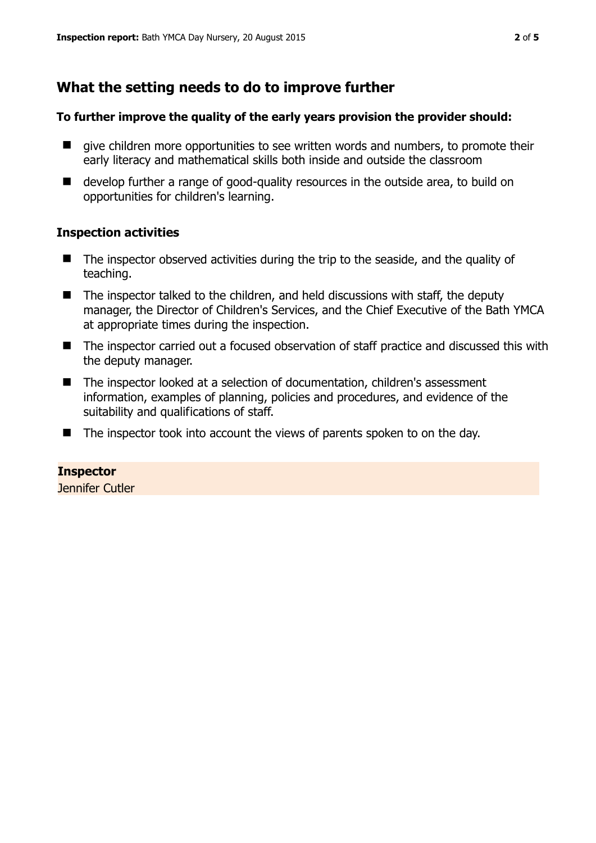# **What the setting needs to do to improve further**

#### **To further improve the quality of the early years provision the provider should:**

- $\blacksquare$  give children more opportunities to see written words and numbers, to promote their early literacy and mathematical skills both inside and outside the classroom
- develop further a range of good-quality resources in the outside area, to build on opportunities for children's learning.

## **Inspection activities**

- The inspector observed activities during the trip to the seaside, and the quality of teaching.
- The inspector talked to the children, and held discussions with staff, the deputy manager, the Director of Children's Services, and the Chief Executive of the Bath YMCA at appropriate times during the inspection.
- The inspector carried out a focused observation of staff practice and discussed this with the deputy manager.
- The inspector looked at a selection of documentation, children's assessment information, examples of planning, policies and procedures, and evidence of the suitability and qualifications of staff.
- The inspector took into account the views of parents spoken to on the day.

#### **Inspector**

Jennifer Cutler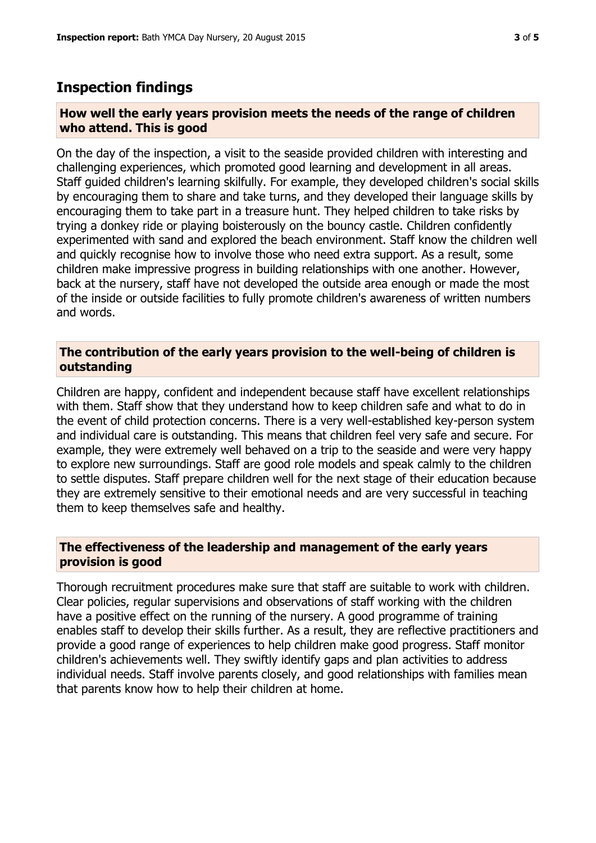# **Inspection findings**

#### **How well the early years provision meets the needs of the range of children who attend. This is good**

On the day of the inspection, a visit to the seaside provided children with interesting and challenging experiences, which promoted good learning and development in all areas. Staff guided children's learning skilfully. For example, they developed children's social skills by encouraging them to share and take turns, and they developed their language skills by encouraging them to take part in a treasure hunt. They helped children to take risks by trying a donkey ride or playing boisterously on the bouncy castle. Children confidently experimented with sand and explored the beach environment. Staff know the children well and quickly recognise how to involve those who need extra support. As a result, some children make impressive progress in building relationships with one another. However, back at the nursery, staff have not developed the outside area enough or made the most of the inside or outside facilities to fully promote children's awareness of written numbers and words.

#### **The contribution of the early years provision to the well-being of children is outstanding**

Children are happy, confident and independent because staff have excellent relationships with them. Staff show that they understand how to keep children safe and what to do in the event of child protection concerns. There is a very well-established key-person system and individual care is outstanding. This means that children feel very safe and secure. For example, they were extremely well behaved on a trip to the seaside and were very happy to explore new surroundings. Staff are good role models and speak calmly to the children to settle disputes. Staff prepare children well for the next stage of their education because they are extremely sensitive to their emotional needs and are very successful in teaching them to keep themselves safe and healthy.

## **The effectiveness of the leadership and management of the early years provision is good**

Thorough recruitment procedures make sure that staff are suitable to work with children. Clear policies, regular supervisions and observations of staff working with the children have a positive effect on the running of the nursery. A good programme of training enables staff to develop their skills further. As a result, they are reflective practitioners and provide a good range of experiences to help children make good progress. Staff monitor children's achievements well. They swiftly identify gaps and plan activities to address individual needs. Staff involve parents closely, and good relationships with families mean that parents know how to help their children at home.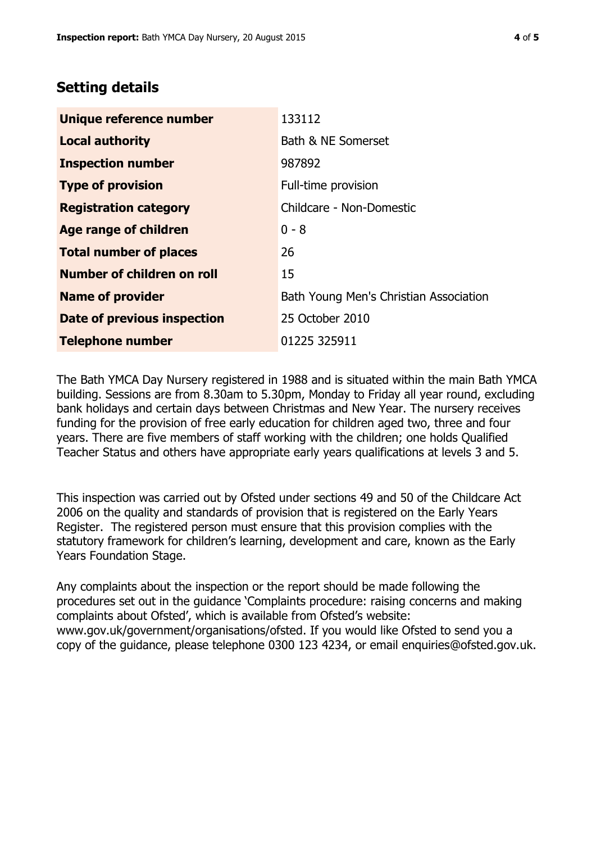# **Setting details**

| Unique reference number       | 133112                                 |
|-------------------------------|----------------------------------------|
| <b>Local authority</b>        | Bath & NE Somerset                     |
| <b>Inspection number</b>      | 987892                                 |
| <b>Type of provision</b>      | Full-time provision                    |
| <b>Registration category</b>  | Childcare - Non-Domestic               |
| Age range of children         | $0 - 8$                                |
| <b>Total number of places</b> | 26                                     |
| Number of children on roll    | 15                                     |
| <b>Name of provider</b>       | Bath Young Men's Christian Association |
| Date of previous inspection   | 25 October 2010                        |
| <b>Telephone number</b>       | 01225 325911                           |

The Bath YMCA Day Nursery registered in 1988 and is situated within the main Bath YMCA building. Sessions are from 8.30am to 5.30pm, Monday to Friday all year round, excluding bank holidays and certain days between Christmas and New Year. The nursery receives funding for the provision of free early education for children aged two, three and four years. There are five members of staff working with the children; one holds Qualified Teacher Status and others have appropriate early years qualifications at levels 3 and 5.

This inspection was carried out by Ofsted under sections 49 and 50 of the Childcare Act 2006 on the quality and standards of provision that is registered on the Early Years Register. The registered person must ensure that this provision complies with the statutory framework for children's learning, development and care, known as the Early Years Foundation Stage.

Any complaints about the inspection or the report should be made following the procedures set out in the guidance 'Complaints procedure: raising concerns and making complaints about Ofsted', which is available from Ofsted's website: www.gov.uk/government/organisations/ofsted. If you would like Ofsted to send you a copy of the guidance, please telephone 0300 123 4234, or email enquiries@ofsted.gov.uk.